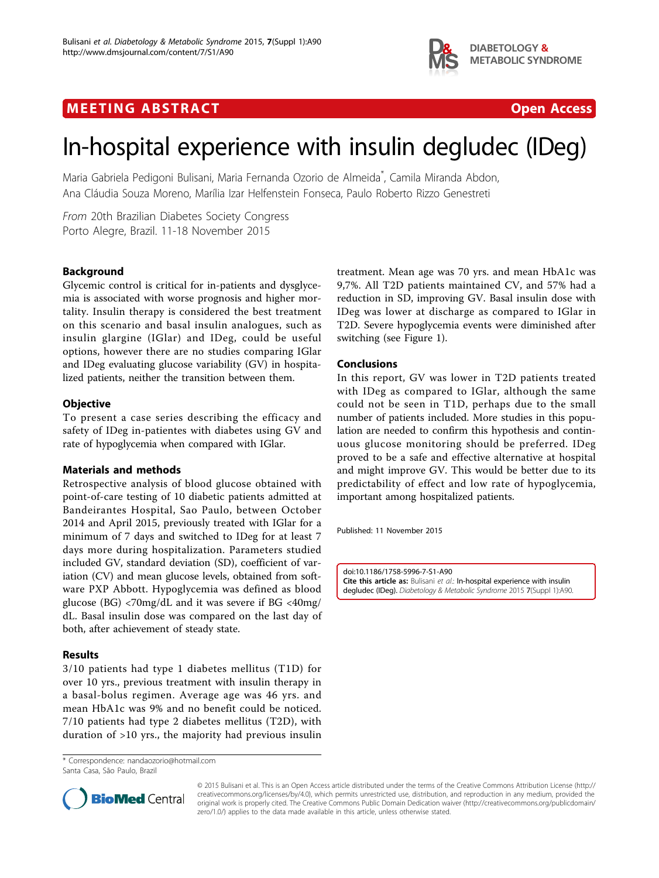

## **MEETING ABSTRACT CONSUMING ABOUT ACCESS**



# In-hospital experience with insulin degludec (IDeg)

Maria Gabriela Pedigoni Bulisani, Maria Fernanda Ozorio de Almeida<sup>\*</sup>, Camila Miranda Abdon, Ana Cláudia Souza Moreno, Marília Izar Helfenstein Fonseca, Paulo Roberto Rizzo Genestreti

From 20th Brazilian Diabetes Society Congress Porto Alegre, Brazil. 11-18 November 2015

### Background

Glycemic control is critical for in-patients and dysglycemia is associated with worse prognosis and higher mortality. Insulin therapy is considered the best treatment on this scenario and basal insulin analogues, such as insulin glargine (IGlar) and IDeg, could be useful options, however there are no studies comparing IGlar and IDeg evaluating glucose variability (GV) in hospitalized patients, neither the transition between them.

#### **Objective**

To present a case series describing the efficacy and safety of IDeg in-patientes with diabetes using GV and rate of hypoglycemia when compared with IGlar.

#### Materials and methods

Retrospective analysis of blood glucose obtained with point-of-care testing of 10 diabetic patients admitted at Bandeirantes Hospital, Sao Paulo, between October 2014 and April 2015, previously treated with IGlar for a minimum of 7 days and switched to IDeg for at least 7 days more during hospitalization. Parameters studied included GV, standard deviation (SD), coefficient of variation (CV) and mean glucose levels, obtained from software PXP Abbott. Hypoglycemia was defined as blood glucose (BG) <70mg/dL and it was severe if BG <40mg/ dL. Basal insulin dose was compared on the last day of both, after achievement of steady state.

#### Results

3/10 patients had type 1 diabetes mellitus (T1D) for over 10 yrs., previous treatment with insulin therapy in a basal-bolus regimen. Average age was 46 yrs. and mean HbA1c was 9% and no benefit could be noticed. 7/10 patients had type 2 diabetes mellitus (T2D), with duration of >10 yrs., the majority had previous insulin

\* Correspondence: [nandaozorio@hotmail.com](mailto:nandaozorio@hotmail.com) Santa Casa, São Paulo, Brazil



#### Conclusions

In this report, GV was lower in T2D patients treated with IDeg as compared to IGlar, although the same could not be seen in T1D, perhaps due to the small number of patients included. More studies in this population are needed to confirm this hypothesis and continuous glucose monitoring should be preferred. IDeg proved to be a safe and effective alternative at hospital and might improve GV. This would be better due to its predictability of effect and low rate of hypoglycemia, important among hospitalized patients.

Published: 11 November 2015

doi:10.1186/1758-5996-7-S1-A90 Cite this article as: Bulisani et al.: In-hospital experience with insulin degludec (IDeg). Diabetology & Metabolic Syndrome 2015 7(Suppl 1):A90.



© 2015 Bulisani et al. This is an Open Access article distributed under the terms of the Creative Commons Attribution License [\(http://](http://creativecommons.org/licenses/by/4.0) [creativecommons.org/licenses/by/4.0](http://creativecommons.org/licenses/by/4.0)), which permits unrestricted use, distribution, and reproduction in any medium, provided the original work is properly cited. The Creative Commons Public Domain Dedication waiver ([http://creativecommons.org/publicdomain/](http://creativecommons.org/publicdomain/zero/1.0/) [zero/1.0/](http://creativecommons.org/publicdomain/zero/1.0/)) applies to the data made available in this article, unless otherwise stated.